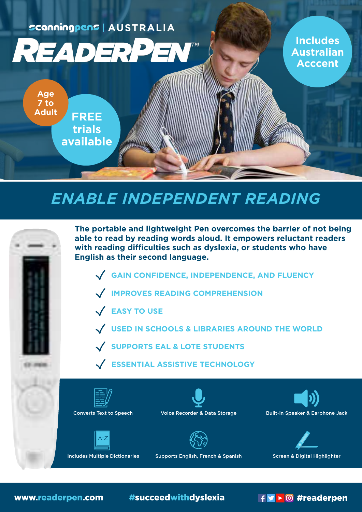**AUSTRALIA AUSTRALIA**



**Includes Includes Australian Australian Acccent Acccent**

**AUSTRALIA**

**AUSTRALIA**

FREEZIE

**Age 7 to Adult**

Free **FREE** 

**Adult 7 to Age**

**trials** 

**available**

**trials** 

**available** 

**FREE FREE trials available English as their second language. trials available**

**Age Age 7 to 7 to Adult Adult**

**EASY TO USE**

# *ENABLE INDEPENDENT READING*



www.readerpen.com